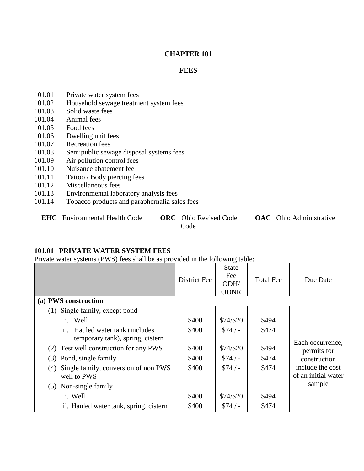#### **CHAPTER 101**

#### **FEES**

- 101.01 Private water system fees
- 101.02 Household sewage treatment system fees
- 101.03 Solid waste fees
- 101.04 Animal fees
- 101.05 Food fees
- 101.06 Dwelling unit fees
- 101.07 Recreation fees
- 101.08 Semipublic sewage disposal systems fees
- 101.09 Air pollution control fees
- 101.10 Nuisance abatement fee
- 101.11 Tattoo / Body piercing fees
- 101.12 Miscellaneous fees
- 101.13 Environmental laboratory analysis fees
- 101.14 Tobacco products and paraphernalia sales fees

**EHC** Environmental Health Code **ORC** Ohio Revised Code **OAC** Ohio Administrative

Code

\_\_\_\_\_\_\_\_\_\_\_\_\_\_\_\_\_\_\_\_\_\_\_\_\_\_\_\_\_\_\_\_\_\_\_\_\_\_\_\_\_\_\_\_\_\_\_\_\_\_\_\_\_\_\_\_\_\_\_\_\_\_\_\_\_\_\_\_\_\_\_\_\_\_\_\_\_\_\_\_\_\_

#### **101.01 PRIVATE WATER SYSTEM FEES**

Private water systems (PWS) fees shall be as provided in the following table:

|                                                            | <b>District Fee</b> | $\circ$<br><b>State</b><br>Fee<br>ODH/<br><b>ODNR</b> | <b>Total Fee</b> | Due Date                                |
|------------------------------------------------------------|---------------------|-------------------------------------------------------|------------------|-----------------------------------------|
| (a) PWS construction                                       |                     |                                                       |                  |                                         |
| Single family, except pond<br>(1)                          |                     |                                                       |                  |                                         |
| Well<br>i.                                                 | \$400               | \$74/\$20                                             | \$494            |                                         |
| Hauled water tank (includes<br>ii.                         | \$400               | $$74/-$                                               | \$474            |                                         |
| temporary tank), spring, cistern                           |                     |                                                       |                  | Each occurrence,                        |
| Test well construction for any PWS<br>(2)                  | \$400               | \$74/\$20                                             | \$494            | permits for                             |
| Pond, single family<br>(3)                                 | \$400               | $$74/-$                                               | \$474            | construction                            |
| Single family, conversion of non PWS<br>(4)<br>well to PWS | \$400               | $$74/-$                                               | \$474            | include the cost<br>of an initial water |
| Non-single family<br>(5)                                   |                     |                                                       |                  | sample                                  |
| i. Well                                                    | \$400               | \$74/\$20                                             | \$494            |                                         |
| ii. Hauled water tank, spring, cistern                     | \$400               | $$74/-$                                               | \$474            |                                         |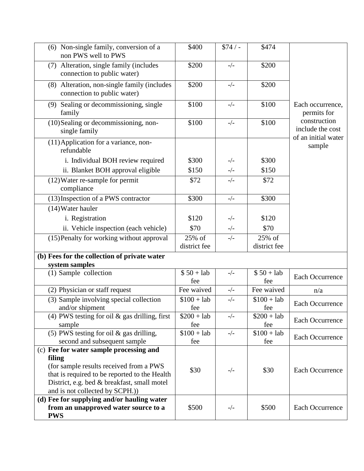| (6) Non-single family, conversion of a<br>non PWS well to PWS                            | \$400               | $$74/-$ | \$474               |                                                         |
|------------------------------------------------------------------------------------------|---------------------|---------|---------------------|---------------------------------------------------------|
| Alteration, single family (includes<br>(7)<br>connection to public water)                | \$200               | $-/-$   | \$200               |                                                         |
| (8) Alteration, non-single family (includes<br>connection to public water)               | \$200               | $-/-$   | \$200               |                                                         |
| Sealing or decommissioning, single<br>(9)<br>family                                      | \$100               | $-/-$   | \$100               | Each occurrence,<br>permits for                         |
| (10) Sealing or decommissioning, non-<br>single family                                   | \$100               | $-/-$   | \$100               | construction<br>include the cost<br>of an initial water |
| (11) Application for a variance, non-<br>refundable                                      |                     |         |                     | sample                                                  |
| i. Individual BOH review required                                                        | \$300               | $-/-$   | \$300               |                                                         |
| ii. Blanket BOH approval eligible                                                        | \$150               | $-/-$   | \$150               |                                                         |
| (12) Water re-sample for permit<br>compliance                                            | \$72                | $-/-$   | \$72                |                                                         |
| (13) Inspection of a PWS contractor                                                      | \$300               | $-/-$   | \$300               |                                                         |
| (14) Water hauler                                                                        |                     |         |                     |                                                         |
| i. Registration                                                                          | \$120               | $-/-$   | \$120               |                                                         |
| ii. Vehicle inspection (each vehicle)                                                    | \$70                | $-/-$   | \$70                |                                                         |
| (15) Penalty for working without approval                                                | 25% of              | $-/-$   | 25% of              |                                                         |
|                                                                                          | district fee        |         | district fee        |                                                         |
| (b) Fees for the collection of private water<br>system samples                           |                     |         |                     |                                                         |
| (1) Sample collection                                                                    | $$50 + lab$<br>fee  | $-/-$   | $$50 + lab$<br>fee  | <b>Each Occurrence</b>                                  |
| (2) Physician or staff request                                                           | Fee waived          | $-/-$   | Fee waived          | n/a                                                     |
| (3) Sample involving special collection<br>and/or shipment                               | $$100 + lab$<br>fee | $-/-$   | $$100 + lab$<br>fee | <b>Each Occurrence</b>                                  |
| (4) PWS testing for oil $\&$ gas drilling, first<br>sample                               | $$200 + lab$<br>fee | $-/-$   | $$200 + lab$<br>fee | <b>Each Occurrence</b>                                  |
| (5) PWS testing for oil $&$ gas drilling,<br>second and subsequent sample                | $$100 + lab$<br>fee | $-/-$   | $$100 + lab$<br>fee | Each Occurrence                                         |
| (c) Fee for water sample processing and                                                  |                     |         |                     |                                                         |
| filing                                                                                   |                     |         |                     |                                                         |
| (for sample results received from a PWS<br>that is required to be reported to the Health | \$30                | $-/-$   | \$30                | <b>Each Occurrence</b>                                  |
| District, e.g. bed & breakfast, small motel                                              |                     |         |                     |                                                         |
| and is not collected by SCPH.)                                                           |                     |         |                     |                                                         |
| (d) Fee for supplying and/or hauling water                                               |                     |         |                     |                                                         |
| from an unapproved water source to a                                                     | \$500               | $-/-$   | \$500               | Each Occurrence                                         |
| <b>PWS</b>                                                                               |                     |         |                     |                                                         |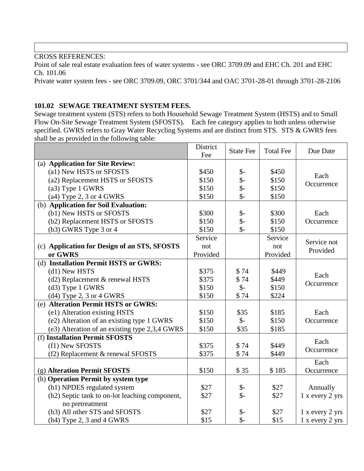Point of sale real estate evaluation fees of water systems - see ORC 3709.09 and EHC Ch. 201 and EHC Ch. 101.06

Private water system fees - see ORC 3709.09, ORC 3701/344 and OAC 3701-28-01 through 3701-28-2106

## **101.02 SEWAGE TREATMENT SYSTEM FEES.**

Sewage treatment system (STS) refers to both Household Sewage Treatment System (HSTS) and to Small Flow On-Site Sewage Treatment System (SFOSTS). Each fee category applies to both unless otherwise specified. GWRS refers to Gray Water Recycling Systems and are distinct from STS. STS & GWRS fees shall be as provided in the following table:

|                                                | District<br>Fee | <b>State Fee</b> | <b>Total Fee</b> | Due Date        |
|------------------------------------------------|-----------------|------------------|------------------|-----------------|
| (a) Application for Site Review:               |                 |                  |                  |                 |
| (a1) New HSTS or SFOSTS                        | \$450           | $\mathcal{S}$ -  | \$450            | Each            |
| (a2) Replacement HSTS or SFOSTS                | \$150           | $\mathsf{\$}$ -  | \$150            | Occurrence      |
| $(a3)$ Type 1 GWRS                             | \$150           | $\mathsf{\$}$ -  | \$150            |                 |
| $(a4)$ Type 2, 3 or 4 GWRS                     | \$150           | $\mathsf{\$}$    | \$150            |                 |
| (b) Application for Soil Evaluation:           |                 |                  |                  |                 |
| (b1) New HSTS or SFOSTS                        | \$300           | $\mathcal{S}$ -  | \$300            | Each            |
| (b2) Replacement HSTS or SFOSTS                | \$150           | $\frac{1}{2}$    | \$150            | Occurrence      |
| $(b3)$ GWRS Type 3 or 4                        | \$150           | $\mathsf{\$}$ -  | \$150            |                 |
|                                                | Service         |                  | Service          | Service not     |
| (c) Application for Design of an STS, SFOSTS   | not             |                  | not              | Provided        |
| or GWRS                                        | Provided        |                  | Provided         |                 |
| (d) Installation Permit HSTS or GWRS:          |                 |                  |                  |                 |
| (d1) New HSTS                                  | \$375           | \$74             | \$449            | Each            |
| (d2) Replacement & renewal HSTS                | \$375           | \$74             | \$449            | Occurrence      |
| (d3) Type 1 GWRS                               | \$150           | $\mathcal{S}$ -  | \$150            |                 |
| $(d4)$ Type 2, 3 or 4 GWRS                     | \$150           | \$74             | \$224            |                 |
| (e) Alteration Permit HSTS or GWRS:            |                 |                  |                  |                 |
| (e1) Alteration existing HSTS                  | \$150           | \$35             | \$185            | Each            |
| (e2) Alteration of an existing type 1 GWRS     | \$150           | $\mathsf{S}$ -   | \$150            | Occurrence      |
| (e3) Alteration of an existing type 2,3,4 GWRS | \$150           | \$35             | \$185            |                 |
| (f) Installation Permit SFOSTS                 |                 |                  |                  | Each            |
| (f1) New SFOSTS                                | \$375           | \$74             | \$449            | Occurrence      |
| (f2) Replacement & renewal SFOSTS              | \$375           | \$74             | \$449            |                 |
|                                                |                 |                  |                  | Each            |
| (g) Alteration Permit SFOSTS                   | \$150           | \$35             | \$185            | Occurrence      |
| (h) Operation Permit by system type            |                 |                  |                  |                 |
| (h1) NPDES regulated system                    | \$27            | $\frac{1}{2}$    | \$27             | Annually        |
| (h2) Septic tank to on-lot leaching component, | \$27            | $\mathsf{\$}$    | \$27             | 1 x every 2 yrs |
| no pretreatment                                |                 |                  |                  |                 |
| (h3) All other STS and SFOSTS                  | \$27            | $\frac{1}{2}$    | \$27             | 1 x every 2 yrs |
| $(h4)$ Type 2, 3 and 4 GWRS                    | \$15            | $\mathsf{\$}$ -  | \$15             | 1 x every 2 yrs |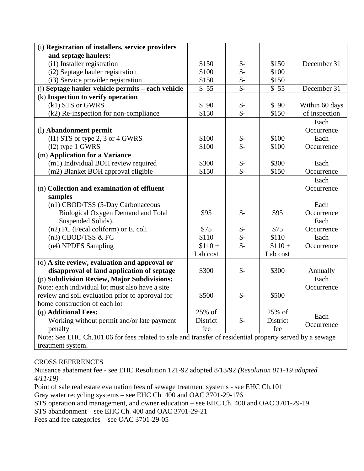| (i) Registration of installers, service providers                                                        |          |                         |          |                |
|----------------------------------------------------------------------------------------------------------|----------|-------------------------|----------|----------------|
| and septage haulers:                                                                                     |          |                         |          |                |
| (i1) Installer registration                                                                              | \$150    | $\mathcal{S}$ -         | \$150    | December 31    |
| (i2) Septage hauler registration                                                                         | \$100    | $\mathcal{S}$ -         | \$100    |                |
| (i3) Service provider registration                                                                       | \$150    | $\frac{1}{2}$           | \$150    |                |
| (j) Septage hauler vehicle permits - each vehicle                                                        | \$55     | $\overline{\mathbb{S}}$ | \$55     | December 31    |
| (k) Inspection to verify operation                                                                       |          |                         |          |                |
| (k1) STS or GWRS                                                                                         | \$90     | $\frac{1}{2}$           | \$90     | Within 60 days |
| (k2) Re-inspection for non-compliance                                                                    | \$150    | $\mathsf{\$}$ -         | \$150    | of inspection  |
|                                                                                                          |          |                         |          | Each           |
| (l) Abandonment permit                                                                                   |          |                         |          | Occurrence     |
| $(11) STS$ or type 2, 3 or 4 GWRS                                                                        | \$100    | $\frac{1}{2}$           | \$100    | Each           |
| $(12)$ type 1 GWRS                                                                                       | \$100    | $\mathsf{\$}$           | \$100    | Occurrence     |
| (m) Application for a Variance                                                                           |          |                         |          |                |
| (m1) Individual BOH review required                                                                      | \$300    | $\mathsf{\$}$ -         | \$300    | Each           |
| (m2) Blanket BOH approval eligible                                                                       | \$150    | $\mathcal{S}$ -         | \$150    | Occurrence     |
|                                                                                                          |          |                         |          | Each           |
| (n) Collection and examination of effluent                                                               |          |                         |          | Occurrence     |
| samples                                                                                                  |          |                         |          |                |
| (n1) CBOD/TSS (5-Day Carbonaceous                                                                        |          |                         |          | Each           |
| Biological Oxygen Demand and Total                                                                       | \$95     | $\mathcal{S}$ -         | \$95     | Occurrence     |
| Suspended Solids).                                                                                       |          |                         |          | Each           |
| (n2) FC (Fecal coliform) or E. coli                                                                      | \$75     |                         | \$75     | Occurrence     |
| $(n3)$ CBOD/TSS & FC                                                                                     | \$110    | $S-$<br>$S-$            | \$110    | Each           |
| (n4) NPDES Sampling                                                                                      | $$110 +$ |                         | $$110 +$ | Occurrence     |
|                                                                                                          | Lab cost |                         | Lab cost |                |
| (o) A site review, evaluation and approval or                                                            |          |                         |          |                |
| disapproval of land application of septage                                                               | \$300    | $\mathsf{S}$ -          | \$300    | Annually       |
| (p) Subdivision Review, Major Subdivisions:                                                              |          |                         |          | Each           |
| Note: each individual lot must also have a site                                                          |          |                         |          | Occurrence     |
| review and soil evaluation prior to approval for                                                         | \$500    | $\mathcal{S}$ -         | \$500    |                |
| home construction of each lot                                                                            |          |                         |          |                |
| (q) Additional Fees:                                                                                     | 25% of   |                         | 25% of   | Each           |
| Working without permit and/or late payment                                                               | District | $\mathsf{S}$ -          | District | Occurrence     |
| penalty                                                                                                  | fee      |                         | fee      |                |
| Note: See EHC Ch.101.06 for fees related to sale and transfer of residential property served by a sewage |          |                         |          |                |
| treatment system.                                                                                        |          |                         |          |                |

Nuisance abatement fee - see EHC Resolution 121-92 adopted 8/13/92 *(Resolution 011-19 adopted 4/11/19)*

Point of sale real estate evaluation fees of sewage treatment systems - see EHC Ch.101

Gray water recycling systems – see EHC Ch. 400 and OAC 3701-29-176

STS operation and management, and owner education – see EHC Ch. 400 and OAC 3701-29-19

STS abandonment – see EHC Ch. 400 and OAC 3701-29-21

Fees and fee categories – see OAC 3701-29-05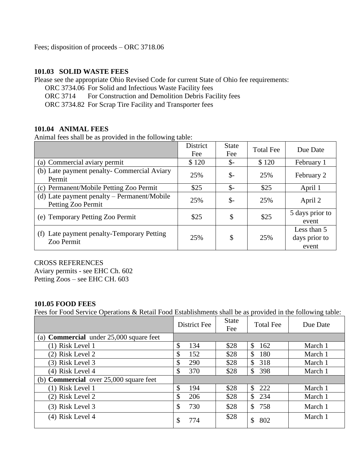Fees; disposition of proceeds – ORC 3718.06

#### **101.03 SOLID WASTE FEES**

Please see the appropriate Ohio Revised Code for current State of Ohio fee requirements:

- ORC 3734.06 For Solid and Infectious Waste Facility fees
- ORC 3714 For Construction and Demolition Debris Facility fees

ORC 3734.82 For Scrap Tire Facility and Transporter fees

#### **101.04 ANIMAL FEES**

Animal fees shall be as provided in the following table:

|                                                                   | District<br>Fee | <b>State</b><br>Fee | <b>Total Fee</b> | Due Date                              |
|-------------------------------------------------------------------|-----------------|---------------------|------------------|---------------------------------------|
| (a) Commercial aviary permit                                      | \$120           | $\mathbb{S}^-$      | \$120            | February 1                            |
| (b) Late payment penalty- Commercial Aviary<br>Permit             | 25%             | $\mathcal{S}$ -     | 25%              | February 2                            |
| (c) Permanent/Mobile Petting Zoo Permit                           | \$25            | $\mathcal{S}$ -     | \$25             | April 1                               |
| (d) Late payment penalty – Permanent/Mobile<br>Petting Zoo Permit | 25%             | $\mathbb{S}$        | 25%              | April 2                               |
| (e) Temporary Petting Zoo Permit                                  | \$25            | \$                  | \$25             | 5 days prior to<br>event              |
| (f) Late payment penalty-Temporary Petting<br>Zoo Permit          | 25%             | \$                  | 25%              | Less than 5<br>days prior to<br>event |

#### CROSS REFERENCES

Aviary permits - see EHC Ch. 602 Petting Zoos – see EHC CH. 603

## **101.05 FOOD FEES**

Fees for Food Service Operations & Retail Food Establishments shall be as provided in the following table:

|                                                  | District Fee | <b>State</b><br>Fee | <b>Total Fee</b>    | Due Date |
|--------------------------------------------------|--------------|---------------------|---------------------|----------|
| (a) <b>Commercial</b> under $25,000$ square feet |              |                     |                     |          |
| $(1)$ Risk Level 1                               | \$<br>134    | \$28                | \$<br>162           | March 1  |
| (2) Risk Level 2                                 | \$<br>152    | \$28                | \$<br>180           | March 1  |
| (3) Risk Level 3                                 | \$<br>290    | \$28                | \$<br>318           | March 1  |
| (4) Risk Level 4                                 | \$<br>370    | \$28                | \$<br>398           | March 1  |
| (b) <b>Commercial</b> over $25,000$ square feet  |              |                     |                     |          |
| (1) Risk Level 1                                 | \$<br>194    | \$28                | $\mathbb{S}$<br>222 | March 1  |
| (2) Risk Level 2                                 | \$<br>206    | \$28                | \$<br>234           | March 1  |
| (3) Risk Level 3                                 | \$<br>730    | \$28                | $\mathbb{S}$<br>758 | March 1  |
| (4) Risk Level 4                                 | 774<br>\$    | \$28                | \$<br>802           | March 1  |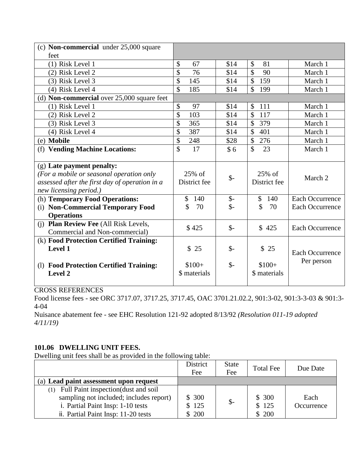| (c) <b>Non-commercial</b> under 25,000 square     |                      |                 |                      |                        |
|---------------------------------------------------|----------------------|-----------------|----------------------|------------------------|
| feet                                              |                      |                 |                      |                        |
| (1) Risk Level 1                                  | \$<br>67             | \$14            | \$<br>81             | March 1                |
| (2) Risk Level 2                                  | \$<br>76             | \$14            | \$<br>90             | March 1                |
| (3) Risk Level 3                                  | \$<br>145            | \$14            | \$<br>159            | March 1                |
| (4) Risk Level 4                                  | \$<br>185            | \$14            | $\mathbb{S}$<br>199  | March 1                |
| (d) <b>Non-commercial</b> over 25,000 square feet |                      |                 |                      |                        |
| (1) Risk Level 1                                  | \$<br>97             | \$14            | $\mathcal{S}$<br>111 | March 1                |
| (2) Risk Level 2                                  | \$<br>103            | \$14            | $\mathcal{S}$<br>117 | March 1                |
| (3) Risk Level 3                                  | \$<br>365            | \$14            | \$<br>379            | March 1                |
| (4) Risk Level 4                                  | \$<br>387            | \$14            | $\mathbb{S}$<br>401  | March 1                |
| (e) Mobile                                        | \$<br>248            | \$28            | \$<br>276            | March 1                |
| (f) Vending Machine Locations:                    | \$<br>17             | \$6             | $\mathbb{S}$<br>23   | March 1                |
|                                                   |                      |                 |                      |                        |
| (g) Late payment penalty:                         |                      |                 |                      |                        |
| (For a mobile or seasonal operation only          | 25% of               | $\mathcal{S}$ - | 25% of               | March 2                |
| assessed after the first day of operation in a    | District fee         |                 | District fee         |                        |
| new licensing period.)                            |                      |                 |                      |                        |
| (h) Temporary Food Operations:                    | $\mathcal{S}$<br>140 | $\mathsf{\$}$ - | $\mathcal{S}$<br>140 | <b>Each Occurrence</b> |
| <b>Non-Commercial Temporary Food</b><br>(i)       | \$<br>70             | $S-$            | \$<br>70             | <b>Each Occurrence</b> |
| <b>Operations</b>                                 |                      |                 |                      |                        |
| (j) Plan Review Fee (All Risk Levels,             | \$425                | $\mathcal{S}$ - | \$425                | <b>Each Occurrence</b> |
| Commercial and Non-commercial)                    |                      |                 |                      |                        |
| (k) Food Protection Certified Training:           |                      |                 |                      |                        |
| <b>Level 1</b>                                    | \$25                 | $S-$            | \$25                 | Each Occurrence        |
|                                                   |                      |                 |                      | Per person             |
| (1) Food Protection Certified Training:           | $$100+$              | $S-$            | $$100+$              |                        |
| Level 2                                           | \$ materials         |                 | \$ materials         |                        |
|                                                   |                      |                 |                      |                        |

Food license fees - see ORC 3717.07, 3717.25, 3717.45, OAC 3701.21.02.2, 901:3-02, 901:3-3-03 & 901:3- 4-04

Nuisance abatement fee - see EHC Resolution 121-92 adopted 8/13/92 *(Resolution 011-19 adopted 4/11/19)*

# **101.06 DWELLING UNIT FEES.**

Dwelling unit fees shall be as provided in the following table:

|                                             | District<br>Fee | <b>State</b><br>Fee | <b>Total Fee</b> | Due Date   |
|---------------------------------------------|-----------------|---------------------|------------------|------------|
| (a) Lead paint assessment upon request      |                 |                     |                  |            |
| Full Paint inspection (dust and soil<br>(1) |                 |                     |                  |            |
| sampling not included; includes report)     | \$300           | $\mathcal{S}$       | \$300            | Each       |
| i. Partial Paint Insp: 1-10 tests           | \$125           |                     | \$125            | Occurrence |
| ii. Partial Paint Insp: 11-20 tests         | \$200           |                     | \$200            |            |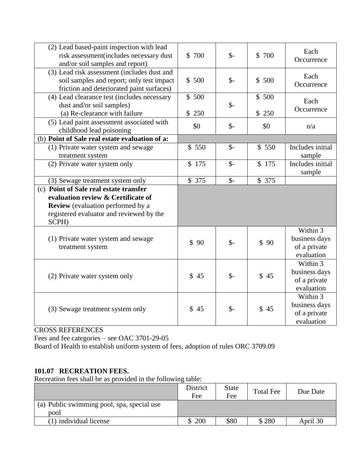| (2) Lead based-paint inspection with lead<br>risk assessment(includes necessary dust<br>and/or soil samples and report)                                                       | \$700          | $\mathsf{S}$ -  | \$ 700         | Each<br>Occurrence                                      |
|-------------------------------------------------------------------------------------------------------------------------------------------------------------------------------|----------------|-----------------|----------------|---------------------------------------------------------|
| (3) Lead risk assessment (includes dust and<br>soil samples and report; only test impact<br>friction and deteriorated paint surfaces)                                         | \$500          | $\mathcal{S}$ - | \$500          | Each<br>Occurrence                                      |
| (4) Lead clearance test (includes necessary<br>dust and/or soil samples)<br>(a) Re-clearance with failure                                                                     | \$500<br>\$250 | $\mathsf{S}$ -  | \$500<br>\$250 | Each<br>Occurrence                                      |
| (5) Lead paint assessment associated with<br>childhood lead poisoning                                                                                                         | \$0            | $\mathcal{S}$ - | \$0            | n/a                                                     |
| (b) Point of Sale real estate evaluation of a:                                                                                                                                |                |                 |                |                                                         |
| (1) Private water system and sewage<br>treatment system                                                                                                                       | \$550          | $\mathsf{S}$ -  | \$550          | Includes initial<br>sample                              |
| (2) Private water system only                                                                                                                                                 | \$175          | $\mathcal{S}$ - | \$175          | Includes initial<br>sample                              |
| (3) Sewage treatment system only                                                                                                                                              | \$375          | $\mathsf{S}$ -  | \$375          |                                                         |
| (c) Point of Sale real estate transfer<br>evaluation review & Certificate of<br><b>Review</b> (evaluation performed by a<br>registered evaluator and reviewed by the<br>SCPH) |                |                 |                |                                                         |
| (1) Private water system and sewage<br>treatment system                                                                                                                       | \$90           | $\mathsf{\$}$   | \$90           | Within 3<br>business days<br>of a private<br>evaluation |
| (2) Private water system only                                                                                                                                                 | \$45           | $\mathsf{S}$ -  | \$45           | Within 3<br>business days<br>of a private<br>evaluation |
| (3) Sewage treatment system only                                                                                                                                              | \$45           | $\mathcal{S}$ - | \$45           | Within 3<br>business days<br>of a private<br>evaluation |

Fees and fee categories – see OAC 3701-29-05

Board of Health to establish uniform system of fees, adoption of rules ORC 3709.09

# **101.07 RECREATION FEES.**

Recreation fees shall be as provided in the following table:

|                                            | District<br>Fee | <b>State</b><br>Fee | <b>Total Fee</b> | Due Date |
|--------------------------------------------|-----------------|---------------------|------------------|----------|
| (a) Public swimming pool, spa, special use |                 |                     |                  |          |
| pool                                       |                 |                     |                  |          |
| (1) individual license                     | 200             | \$80                | \$280            | April 30 |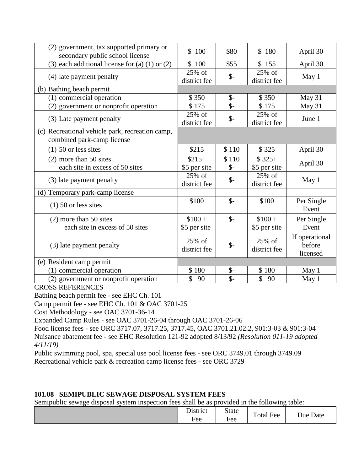| (2) government, tax supported primary or                                      |                        |                 |                           |                                      |
|-------------------------------------------------------------------------------|------------------------|-----------------|---------------------------|--------------------------------------|
| secondary public school license                                               | \$100                  | \$80            | \$180                     | April 30                             |
| (3) each additional license for (a) $(1)$ or $(2)$                            | \$100                  | \$55            | \$155                     | April 30                             |
| (4) late payment penalty                                                      | 25% of<br>district fee | $\frac{1}{2}$   | 25% of<br>district fee    | May 1                                |
| (b) Bathing beach permit                                                      |                        |                 |                           |                                      |
| (1) commercial operation                                                      | \$350                  | $\mathcal{S}$ - | \$350                     | May 31                               |
| (2) government or nonprofit operation                                         | \$175                  | $\frac{2}{2}$   | \$175                     | May 31                               |
| (3) Late payment penalty                                                      | 25% of<br>district fee | $\frac{1}{2}$   | 25% of<br>district fee    | June 1                               |
| (c) Recreational vehicle park, recreation camp,<br>combined park-camp license |                        |                 |                           |                                      |
| $(1)$ 50 or less sites                                                        | \$215                  | \$110           | \$325                     | April 30                             |
| $(2)$ more than 50 sites                                                      | $$215+$                | \$110           | $$325+$                   |                                      |
| each site in excess of 50 sites                                               | \$5 per site           | $\mathcal{S}$ - | \$5 per site              | April 30                             |
| (3) late payment penalty                                                      | 25% of<br>district fee | $\mathcal{S}$ - | $25\%$ of<br>district fee | May 1                                |
| (d) Temporary park-camp license                                               |                        |                 |                           |                                      |
| $(1)$ 50 or less sites                                                        | \$100                  | $\mathcal{S}$ - | \$100                     | Per Single<br>Event                  |
| $(2)$ more than 50 sites                                                      | $$100 +$               | $\mathcal{S}$ - | $$100 +$                  | Per Single                           |
| each site in excess of 50 sites                                               | \$5 per site           |                 | \$5 per site              | Event                                |
| (3) late payment penalty                                                      | 25% of<br>district fee | $\frac{1}{2}$   | 25% of<br>district fee    | If operational<br>before<br>licensed |
| (e) Resident camp permit                                                      |                        |                 |                           |                                      |
| (1) commercial operation                                                      | \$180                  | $\mathsf{\$}$ - | \$180                     | May 1                                |
| (2) government or nonprofit operation                                         | \$<br>90               | $\mathcal{S}$ - | \$<br>90                  | May 1                                |

Bathing beach permit fee - see EHC Ch. 101

Camp permit fee - see EHC Ch. 101 & OAC 3701-25

Cost Methodology - see OAC 3701-36-14

Expanded Camp Rules - see OAC 3701-26-04 through OAC 3701-26-06

Food license fees - see ORC 3717.07, 3717.25, 3717.45, OAC 3701.21.02.2, 901:3-03 & 901:3-04 Nuisance abatement fee - see EHC Resolution 121-92 adopted 8/13/92 *(Resolution 011-19 adopted 4/11/19)*

Public swimming pool, spa, special use pool license fees - see ORC 3749.01 through 3749.09 Recreational vehicle park & recreation camp license fees - see ORC 3729

## **101.08 SEMIPUBLIC SEWAGE DISPOSAL SYSTEM FEES**

Semipublic sewage disposal system inspection fees shall be as provided in the following table:

|  | District<br>Fee | <b>State</b><br>Fee | $\blacksquare$<br>$\mathbf{r}$<br>otal Fee | $\sqrt{ }$<br>Due<br>Date |
|--|-----------------|---------------------|--------------------------------------------|---------------------------|
|--|-----------------|---------------------|--------------------------------------------|---------------------------|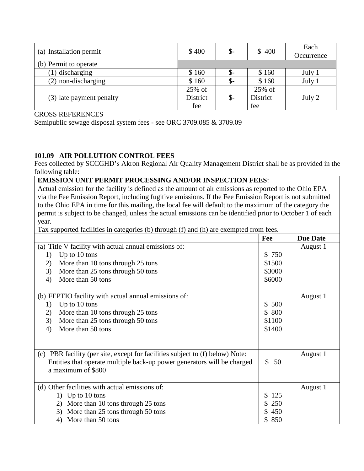| (a) Installation permit  | \$400    | $\mathcal{S}$ | \$400    | Each<br>Occurrence |
|--------------------------|----------|---------------|----------|--------------------|
| (b) Permit to operate    |          |               |          |                    |
| (1) discharging          | \$160    | $S-$          | \$160    | July 1             |
| (2) non-discharging      | \$160    | $\mathcal{S}$ | \$160    | July 1             |
|                          | 25% of   |               | 25% of   |                    |
| (3) late payment penalty | District | $\frac{1}{2}$ | District | July 2             |
|                          | fee      |               | fee      |                    |

Semipublic sewage disposal system fees - see ORC 3709.085 & 3709.09

# **101.09 AIR POLLUTION CONTROL FEES**

Fees collected by SCCGHD's Akron Regional Air Quality Management District shall be as provided in the following table:

### **EMISSION UNIT PERMIT PROCESSING AND/OR INSPECTION FEES**:

Actual emission for the facility is defined as the amount of air emissions as reported to the Ohio EPA via the Fee Emission Report, including fugitive emissions. If the Fee Emission Report is not submitted to the Ohio EPA in time for this mailing, the local fee will default to the maximum of the category the permit is subject to be changed, unless the actual emissions can be identified prior to October 1 of each year.

Tax supported facilities in categories (b) through (f) and (h) are exempted from fees.

|    |                                                                               | Fee                | <b>Due Date</b> |
|----|-------------------------------------------------------------------------------|--------------------|-----------------|
|    | (a) Title V facility with actual annual emissions of:                         |                    | August 1        |
| 1) | Up to 10 tons                                                                 | \$ 750             |                 |
| 2) | More than 10 tons through 25 tons                                             | \$1500             |                 |
| 3) | More than 25 tons through 50 tons                                             | \$3000             |                 |
| 4) | More than 50 tons                                                             | \$6000             |                 |
|    | (b) FEPTIO facility with actual annual emissions of:                          |                    | August 1        |
| 1) | Up to 10 tons                                                                 | 500<br>S.          |                 |
| 2) | More than 10 tons through 25 tons                                             | 800<br>S.          |                 |
| 3) | More than 25 tons through 50 tons                                             | \$1100             |                 |
| 4) | More than 50 tons                                                             | \$1400             |                 |
|    |                                                                               |                    |                 |
|    | (c) PBR facility (per site, except for facilities subject to (f) below) Note: |                    | August 1        |
|    | Entities that operate multiple back-up power generators will be charged       | $\mathbb{S}$<br>50 |                 |
|    | a maximum of \$800                                                            |                    |                 |
|    | (d) Other facilities with actual emissions of:                                |                    | August 1        |
|    | 1) Up to $10$ tons                                                            | 125<br>S           |                 |
|    | More than 10 tons through 25 tons<br>2)                                       | 250                |                 |
|    | More than 25 tons through 50 tons<br>3)                                       | 450                |                 |
|    | More than 50 tons<br>4)                                                       | 850                |                 |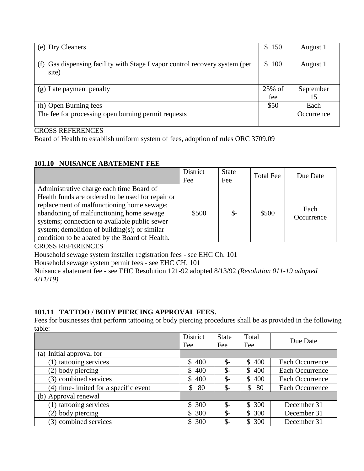| (e) Dry Cleaners                                                                     | \$150            | August 1                  |
|--------------------------------------------------------------------------------------|------------------|---------------------------|
| (f) Gas dispensing facility with Stage I vapor control recovery system (per<br>site) | 100<br>S.        | August 1                  |
| (g) Late payment penalty                                                             | $25\%$ of<br>fee | September<br>15           |
| (h) Open Burning fees<br>The fee for processing open burning permit requests         | \$50             | Each<br><i>Occurrence</i> |

Board of Health to establish uniform system of fees, adoption of rules ORC 3709.09

# **101.10 NUISANCE ABATEMENT FEE**

|                                                                                                                                                                                                                                                                                                                                                 | District<br>Fee | <b>State</b><br>Fee | <b>Total Fee</b> | Due Date           |
|-------------------------------------------------------------------------------------------------------------------------------------------------------------------------------------------------------------------------------------------------------------------------------------------------------------------------------------------------|-----------------|---------------------|------------------|--------------------|
| Administrative charge each time Board of<br>Health funds are ordered to be used for repair or<br>replacement of malfunctioning home sewage;<br>abandoning of malfunctioning home sewage<br>systems; connection to available public sewer<br>system; demolition of building $(s)$ ; or similar<br>condition to be abated by the Board of Health. | \$500           | $\mathcal{S}$ -     | \$500            | Each<br>Occurrence |

CROSS REFERENCES

Household sewage system installer registration fees - see EHC Ch. 101

Household sewage system permit fees - see EHC CH. 101

Nuisance abatement fee - see EHC Resolution 121-92 adopted 8/13/92 *(Resolution 011-19 adopted 4/11/19)*

# **101.11 TATTOO / BODY PIERCING APPROVAL FEES.**

Fees for businesses that perform tattooing or body piercing procedures shall be as provided in the following table:

|                                       | District<br>Fee     | <b>State</b><br>Fee | Total<br>Fee | Due Date               |
|---------------------------------------|---------------------|---------------------|--------------|------------------------|
| (a) Initial approval for              |                     |                     |              |                        |
| (1) tattooing services                | 400<br>$\mathbb{S}$ | $\mathcal{S}$ -     | \$400        | <b>Each Occurrence</b> |
| (2) body piercing                     | 400<br>\$           | $\mathcal{S}$ -     | \$400        | Each Occurrence        |
| (3) combined services                 | 400<br>\$           | $\mathbb{S}^-$      | 400<br>S.    | <b>Each Occurrence</b> |
| (4) time-limited for a specific event | \$<br>80            | $\mathcal{S}$ -     | \$<br>- 80   | Each Occurrence        |
| (b) Approval renewal                  |                     |                     |              |                        |
| (1) tattooing services                | 300<br>\$           | $\mathbb{S}^-$      | 300<br>\$    | December 31            |
| (2) body piercing                     | 300<br>S.           | $\mathcal{S}$ -     | \$300        | December 31            |
| (3) combined services                 | 300<br>\$           | $\mathcal{S}$ -     | 300<br>S.    | December 31            |